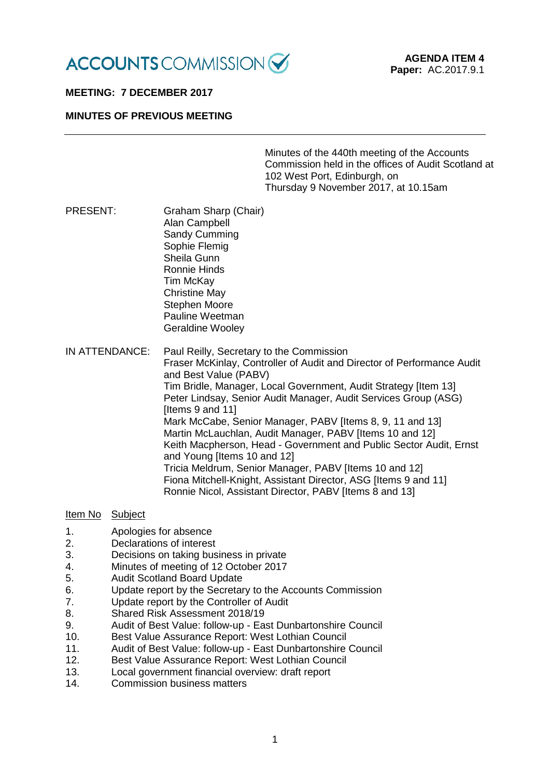

## **MEETING: 7 DECEMBER 2017**

## **MINUTES OF PREVIOUS MEETING**

Minutes of the 440th meeting of the Accounts Commission held in the offices of Audit Scotland at 102 West Port, Edinburgh, on Thursday 9 November 2017, at 10.15am

PRESENT: Graham Sharp (Chair) Alan Campbell Sandy Cumming Sophie Flemig Sheila Gunn Ronnie Hinds Tim McKay Christine May Stephen Moore Pauline Weetman Geraldine Wooley

IN ATTENDANCE: Paul Reilly, Secretary to the Commission Fraser McKinlay, Controller of Audit and Director of Performance Audit and Best Value (PABV) Tim Bridle, Manager, Local Government, Audit Strategy [Item 13] Peter Lindsay, Senior Audit Manager, Audit Services Group (ASG) [Items 9 and 11] Mark McCabe, Senior Manager, PABV Iltems 8, 9, 11 and 131 Martin McLauchlan, Audit Manager, PABV Iltems 10 and 121 Keith Macpherson, Head - Government and Public Sector Audit, Ernst and Young [Items 10 and 12] Tricia Meldrum, Senior Manager, PABV [Items 10 and 12] Fiona Mitchell-Knight, Assistant Director, ASG [Items 9 and 11] Ronnie Nicol, Assistant Director, PABV [Items 8 and 13]

#### Item No Subject

- 1. Apologies for absence<br>2 Declarations of interest
- 2. Declarations of interest<br>3. Decisions on taking bus
- Decisions on taking business in private
- 4. Minutes of meeting of 12 October 2017
- 5. Audit Scotland Board Update
- 6. Update report by the Secretary to the Accounts Commission
- 7. Update report by the Controller of Audit
- 8. Shared Risk Assessment 2018/19
- 9. Audit of Best Value: follow-up East Dunbartonshire Council<br>10 Best Value Assurance Report: West Lothian Council
- Best Value Assurance Report: West Lothian Council
- 11. Audit of Best Value: follow-up East Dunbartonshire Council
- 12. Best Value Assurance Report: West Lothian Council
- 13. Local government financial overview: draft report
- 14. Commission business matters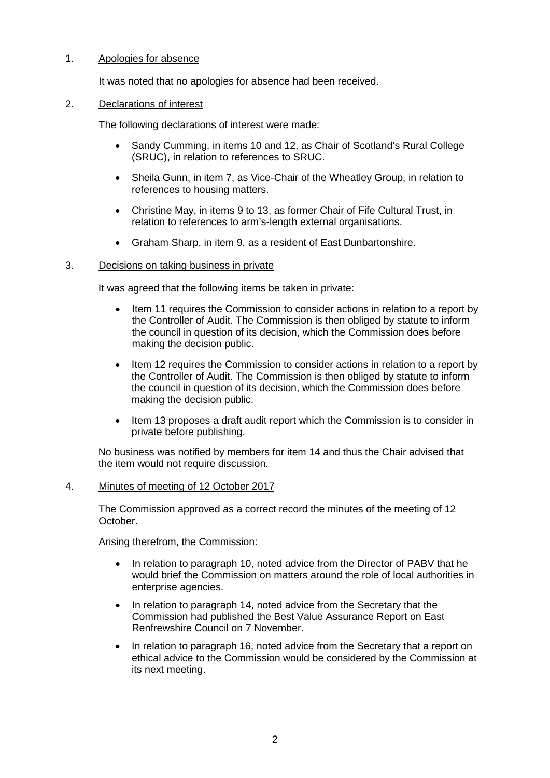## 1. Apologies for absence

It was noted that no apologies for absence had been received.

## 2. Declarations of interest

The following declarations of interest were made:

- Sandy Cumming, in items 10 and 12, as Chair of Scotland's Rural College (SRUC), in relation to references to SRUC.
- Sheila Gunn, in item 7, as Vice-Chair of the Wheatley Group, in relation to references to housing matters.
- Christine May, in items 9 to 13, as former Chair of Fife Cultural Trust, in relation to references to arm's-length external organisations.
- Graham Sharp, in item 9, as a resident of East Dunbartonshire.

## 3. Decisions on taking business in private

It was agreed that the following items be taken in private:

- Item 11 requires the Commission to consider actions in relation to a report by the Controller of Audit. The Commission is then obliged by statute to inform the council in question of its decision, which the Commission does before making the decision public.
- Item 12 requires the Commission to consider actions in relation to a report by the Controller of Audit. The Commission is then obliged by statute to inform the council in question of its decision, which the Commission does before making the decision public.
- Item 13 proposes a draft audit report which the Commission is to consider in private before publishing.

No business was notified by members for item 14 and thus the Chair advised that the item would not require discussion.

#### 4. Minutes of meeting of 12 October 2017

The Commission approved as a correct record the minutes of the meeting of 12 October.

Arising therefrom, the Commission:

- In relation to paragraph 10, noted advice from the Director of PABV that he would brief the Commission on matters around the role of local authorities in enterprise agencies.
- In relation to paragraph 14, noted advice from the Secretary that the Commission had published the Best Value Assurance Report on East Renfrewshire Council on 7 November.
- In relation to paragraph 16, noted advice from the Secretary that a report on ethical advice to the Commission would be considered by the Commission at its next meeting.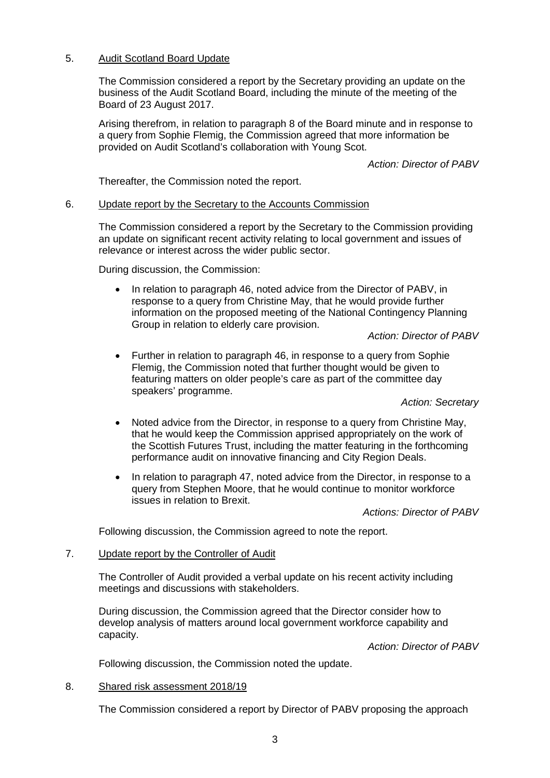## 5. Audit Scotland Board Update

The Commission considered a report by the Secretary providing an update on the business of the Audit Scotland Board, including the minute of the meeting of the Board of 23 August 2017.

Arising therefrom, in relation to paragraph 8 of the Board minute and in response to a query from Sophie Flemig, the Commission agreed that more information be provided on Audit Scotland's collaboration with Young Scot.

*Action: Director of PABV*

Thereafter, the Commission noted the report.

#### 6. Update report by the Secretary to the Accounts Commission

The Commission considered a report by the Secretary to the Commission providing an update on significant recent activity relating to local government and issues of relevance or interest across the wider public sector.

During discussion, the Commission:

• In relation to paragraph 46, noted advice from the Director of PABV, in response to a query from Christine May, that he would provide further information on the proposed meeting of the National Contingency Planning Group in relation to elderly care provision.

*Action: Director of PABV*

• Further in relation to paragraph 46, in response to a query from Sophie Flemig, the Commission noted that further thought would be given to featuring matters on older people's care as part of the committee day speakers' programme.

*Action: Secretary*

- Noted advice from the Director, in response to a query from Christine May, that he would keep the Commission apprised appropriately on the work of the Scottish Futures Trust, including the matter featuring in the forthcoming performance audit on innovative financing and City Region Deals.
- In relation to paragraph 47, noted advice from the Director, in response to a query from Stephen Moore, that he would continue to monitor workforce issues in relation to Brexit.

*Actions: Director of PABV*

Following discussion, the Commission agreed to note the report.

### 7. Update report by the Controller of Audit

The Controller of Audit provided a verbal update on his recent activity including meetings and discussions with stakeholders.

During discussion, the Commission agreed that the Director consider how to develop analysis of matters around local government workforce capability and capacity.

*Action: Director of PABV*

Following discussion, the Commission noted the update.

#### 8. Shared risk assessment 2018/19

The Commission considered a report by Director of PABV proposing the approach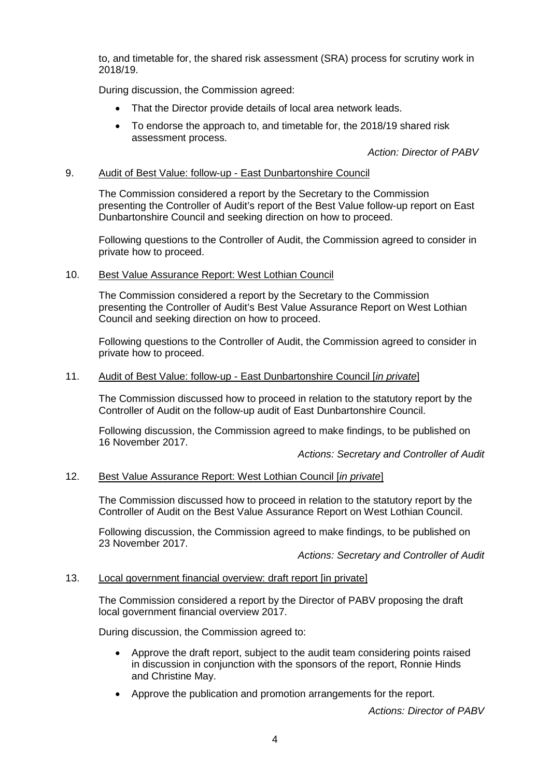to, and timetable for, the shared risk assessment (SRA) process for scrutiny work in 2018/19.

During discussion, the Commission agreed:

- That the Director provide details of local area network leads.
- To endorse the approach to, and timetable for, the 2018/19 shared risk assessment process.

*Action: Director of PABV*

## 9. Audit of Best Value: follow-up - East Dunbartonshire Council

The Commission considered a report by the Secretary to the Commission presenting the Controller of Audit's report of the Best Value follow-up report on East Dunbartonshire Council and seeking direction on how to proceed.

Following questions to the Controller of Audit, the Commission agreed to consider in private how to proceed.

## 10. Best Value Assurance Report: West Lothian Council

The Commission considered a report by the Secretary to the Commission presenting the Controller of Audit's Best Value Assurance Report on West Lothian Council and seeking direction on how to proceed.

Following questions to the Controller of Audit, the Commission agreed to consider in private how to proceed.

## 11. Audit of Best Value: follow-up - East Dunbartonshire Council [*in private*]

The Commission discussed how to proceed in relation to the statutory report by the Controller of Audit on the follow-up audit of East Dunbartonshire Council.

Following discussion, the Commission agreed to make findings, to be published on 16 November 2017.

*Actions: Secretary and Controller of Audit*

## 12. Best Value Assurance Report: West Lothian Council [*in private*]

The Commission discussed how to proceed in relation to the statutory report by the Controller of Audit on the Best Value Assurance Report on West Lothian Council.

Following discussion, the Commission agreed to make findings, to be published on 23 November 2017.

*Actions: Secretary and Controller of Audit*

#### 13. Local government financial overview: draft report [in private]

The Commission considered a report by the Director of PABV proposing the draft local government financial overview 2017.

During discussion, the Commission agreed to:

- Approve the draft report, subject to the audit team considering points raised in discussion in conjunction with the sponsors of the report, Ronnie Hinds and Christine May.
- Approve the publication and promotion arrangements for the report.

*Actions: Director of PABV*